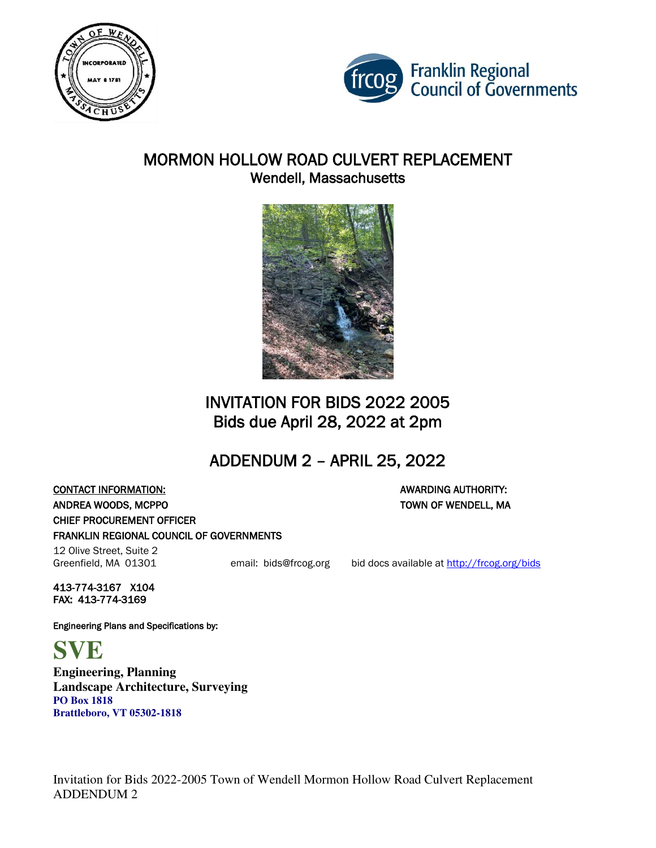



### MORMON HOLLOW ROAD CULVERT REPLACEMENT Wendell, Massachusetts



# INVITATION FOR BIDS 2022 2005 Bids due April 28, 2022 at 2pm

# ADDENDUM 2 – APRIL 25, 2022

**CONTACT INFORMATION:** AWARDING AUTHORITY: ANDREA WOODS, MCPPO TOWN OF WENDELL, MA CHIEF PROCUREMENT OFFICER FRANKLIN REGIONAL COUNCIL OF GOVERNMENTS

12 Olive Street, Suite 2

Greenfield, MA 01301 email: bids@frcog.org bid docs available at http://frcog.org/bids

413-774-3167 X104 FAX: 413-774-3169

Engineering Plans and Specifications by:

**SVE** 

**Engineering, Planning Landscape Architecture, Surveying PO Box 1818 Brattleboro, VT 05302-1818**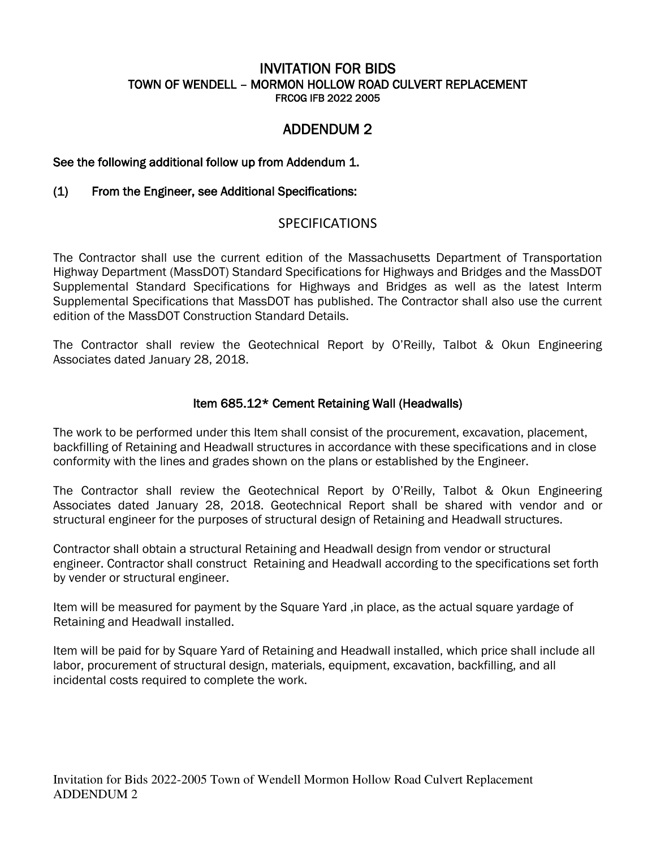#### INVITATION FOR BIDS TOWN OF WENDELL – MORMON HOLLOW ROAD CULVERT REPLACEMENT FRCOG IFB 2022 2005

### ADDENDUM 2

#### See the following additional follow up from Addendum 1.

#### (1) From the Engineer, see Additional Specifications:

#### **SPECIFICATIONS**

The Contractor shall use the current edition of the Massachusetts Department of Transportation Highway Department (MassDOT) Standard Specifications for Highways and Bridges and the MassDOT Supplemental Standard Specifications for Highways and Bridges as well as the latest Interm Supplemental Specifications that MassDOT has published. The Contractor shall also use the current edition of the MassDOT Construction Standard Details.

The Contractor shall review the Geotechnical Report by O'Reilly, Talbot & Okun Engineering Associates dated January 28, 2018.

#### Item 685.12\* Cement Retaining Wall (Headwalls)

The work to be performed under this Item shall consist of the procurement, excavation, placement, backfilling of Retaining and Headwall structures in accordance with these specifications and in close conformity with the lines and grades shown on the plans or established by the Engineer.

The Contractor shall review the Geotechnical Report by O'Reilly, Talbot & Okun Engineering Associates dated January 28, 2018. Geotechnical Report shall be shared with vendor and or structural engineer for the purposes of structural design of Retaining and Headwall structures.

Contractor shall obtain a structural Retaining and Headwall design from vendor or structural engineer. Contractor shall construct Retaining and Headwall according to the specifications set forth by vender or structural engineer.

Item will be measured for payment by the Square Yard ,in place, as the actual square yardage of Retaining and Headwall installed.

Item will be paid for by Square Yard of Retaining and Headwall installed, which price shall include all labor, procurement of structural design, materials, equipment, excavation, backfilling, and all incidental costs required to complete the work.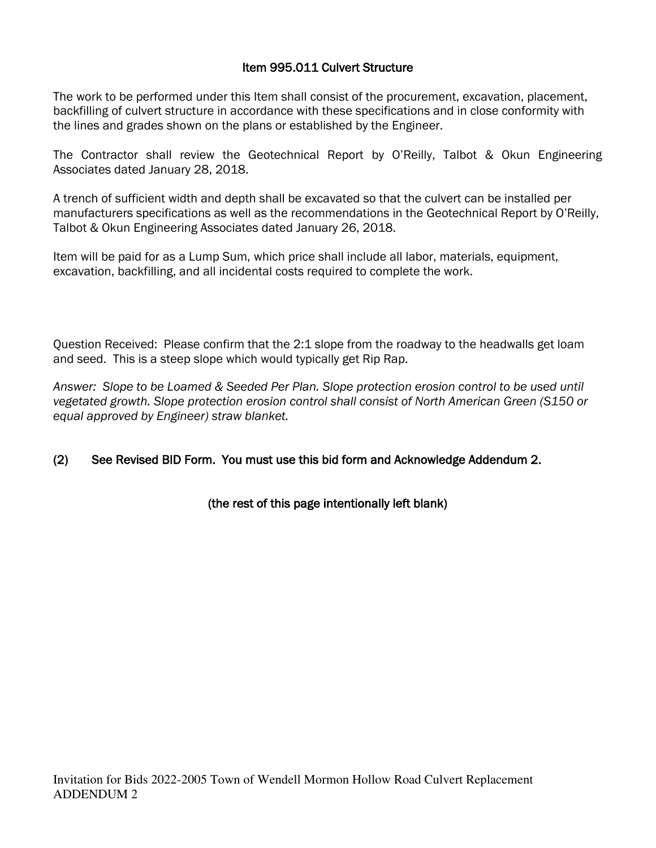#### Item 995.011 Culvert Structure

The work to be performed under this Item shall consist of the procurement, excavation, placement, backfilling of culvert structure in accordance with these specifications and in close conformity with the lines and grades shown on the plans or established by the Engineer.

The Contractor shall review the Geotechnical Report by O'Reilly, Talbot & Okun Engineering Associates dated January 28, 2018.

A trench of sufficient width and depth shall be excavated so that the culvert can be installed per manufacturers specifications as well as the recommendations in the Geotechnical Report by O'Reilly, Talbot & Okun Engineering Associates dated January 26, 2018.

Item will be paid for as a Lump Sum, which price shall include all labor, materials, equipment, excavation, backfilling, and all incidental costs required to complete the work.

Question Received: Please confirm that the 2:1 slope from the roadway to the headwalls get loam and seed. This is a steep slope which would typically get Rip Rap.

*Answer: Slope to be Loamed & Seeded Per Plan. Slope protection erosion control to be used until vegetated growth. Slope protection erosion control shall consist of North American Green (S150 or equal approved by Engineer) straw blanket.* 

#### (2) See Revised BID Form. You must use this bid form and Acknowledge Addendum 2.

#### (the rest of this page intentionally left blank)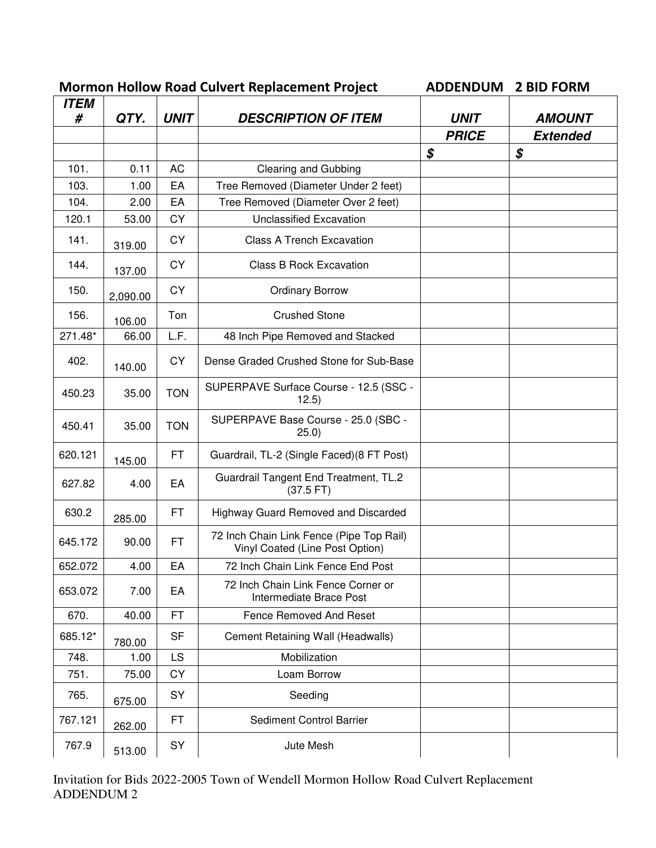| <b>ITEM</b> | <b>Mormon Hollow Road Culvert Replacement Project</b> |             | <b>ADDENDUM</b>                                                             | <b>2 BID FORM</b> |                 |
|-------------|-------------------------------------------------------|-------------|-----------------------------------------------------------------------------|-------------------|-----------------|
| #           | QTY.                                                  | <b>UNIT</b> | <b>DESCRIPTION OF ITEM</b>                                                  | <b>UNIT</b>       | <b>AMOUNT</b>   |
|             |                                                       |             |                                                                             | <b>PRICE</b>      | <b>Extended</b> |
|             |                                                       |             |                                                                             | \$                | \$              |
| 101.        | 0.11                                                  | <b>AC</b>   | <b>Clearing and Gubbing</b>                                                 |                   |                 |
| 103.        | 1.00                                                  | EA          | Tree Removed (Diameter Under 2 feet)                                        |                   |                 |
| 104.        | 2.00                                                  | EA          | Tree Removed (Diameter Over 2 feet)                                         |                   |                 |
| 120.1       | 53.00                                                 | CY          | <b>Unclassified Excavation</b>                                              |                   |                 |
| 141.        | 319.00                                                | <b>CY</b>   | <b>Class A Trench Excavation</b>                                            |                   |                 |
| 144.        | 137.00                                                | CY          | <b>Class B Rock Excavation</b>                                              |                   |                 |
| 150.        | 2,090.00                                              | CY          | <b>Ordinary Borrow</b>                                                      |                   |                 |
| 156.        | 106.00                                                | Ton         | <b>Crushed Stone</b>                                                        |                   |                 |
| 271.48*     | 66.00                                                 | L.F.        | 48 Inch Pipe Removed and Stacked                                            |                   |                 |
| 402.        | 140.00                                                | CY          | Dense Graded Crushed Stone for Sub-Base                                     |                   |                 |
| 450.23      | 35.00                                                 | <b>TON</b>  | SUPERPAVE Surface Course - 12.5 (SSC -<br>12.5)                             |                   |                 |
| 450.41      | 35.00                                                 | <b>TON</b>  | SUPERPAVE Base Course - 25.0 (SBC -<br>(25.0)                               |                   |                 |
| 620.121     | 145.00                                                | <b>FT</b>   | Guardrail, TL-2 (Single Faced) (8 FT Post)                                  |                   |                 |
| 627.82      | 4.00                                                  | EA          | Guardrail Tangent End Treatment, TL.2<br>(37.5 FT)                          |                   |                 |
| 630.2       | 285.00                                                | <b>FT</b>   | Highway Guard Removed and Discarded                                         |                   |                 |
| 645.172     | 90.00                                                 | <b>FT</b>   | 72 Inch Chain Link Fence (Pipe Top Rail)<br>Vinyl Coated (Line Post Option) |                   |                 |
| 652.072     | 4.00                                                  | EA          | 72 Inch Chain Link Fence End Post                                           |                   |                 |
| 653.072     | 7.00                                                  | EA          | 72 Inch Chain Link Fence Corner or<br>Intermediate Brace Post               |                   |                 |
| 670.        | 40.00                                                 | <b>FT</b>   | Fence Removed And Reset                                                     |                   |                 |
| 685.12*     | 780.00                                                | <b>SF</b>   | Cement Retaining Wall (Headwalls)                                           |                   |                 |
| 748.        | 1.00                                                  | LS.         | Mobilization                                                                |                   |                 |
| 751.        | 75.00                                                 | <b>CY</b>   | Loam Borrow                                                                 |                   |                 |
| 765.        | 675.00                                                | SY          | Seeding                                                                     |                   |                 |
| 767.121     | 262.00                                                | <b>FT</b>   | Sediment Control Barrier                                                    |                   |                 |
| 767.9       | 513.00                                                | SY          | Jute Mesh                                                                   |                   |                 |

Invitation for Bids 2022-2005 Town of Wendell Mormon Hollow Road Culvert Replacement ADDENDUM 2